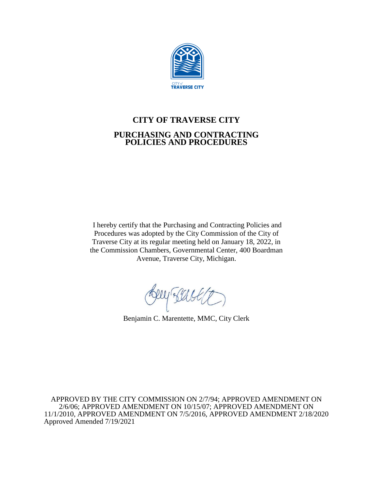

# **CITY OF TRAVERSE CITY PURCHASING AND CONTRACTING POLICIES AND PROCEDURES**

I hereby certify that the Purchasing and Contracting Policies and Procedures was adopted by the City Commission of the City of Traverse City at its regular meeting held on January 18, 2022, in the Commission Chambers, Governmental Center, 400 Boardman Avenue, Traverse City, Michigan.

Rey Back

Benjamin C. Marentette, MMC, City Clerk

APPROVED BY THE CITY COMMISSION ON 2/7/94; APPROVED AMENDMENT ON 2/6/06; APPROVED AMENDMENT ON 10/15/07; APPROVED AMENDMENT ON 11/1/2010, APPROVED AMENDMENT ON 7/5/2016, APPROVED AMENDMENT 2/18/2020 Approved Amended 7/19/2021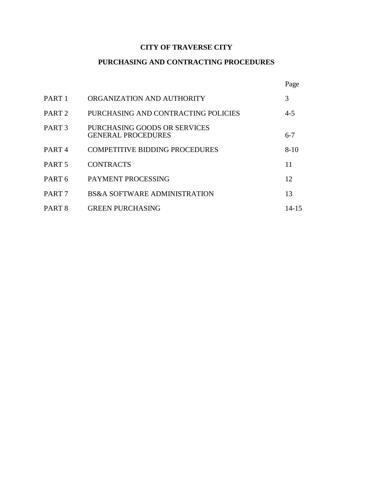## **CITY OF TRAVERSE CITY**

## **PURCHASING AND CONTRACTING PROCEDURES**

|                   |                                                           | Page      |
|-------------------|-----------------------------------------------------------|-----------|
| PART 1            | ORGANIZATION AND AUTHORITY                                | 3         |
| PART 2            | PURCHASING AND CONTRACTING POLICIES                       | $4 - 5$   |
| PART <sub>3</sub> | PURCHASING GOODS OR SERVICES<br><b>GENERAL PROCEDURES</b> | $6 - 7$   |
| PART 4            | <b>COMPETITIVE BIDDING PROCEDURES</b>                     | $8 - 10$  |
| PART 5            | <b>CONTRACTS</b>                                          | 11        |
| PART 6            | PAYMENT PROCESSING                                        | 12        |
| PART 7            | <b>BS&amp;A SOFTWARE ADMINISTRATION</b>                   | 13        |
| PART 8            | <b>GREEN PURCHASING</b>                                   | $14 - 15$ |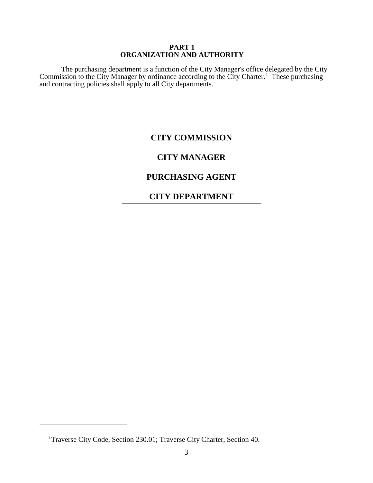#### **PART 1 ORGANIZATION AND AUTHORITY**

The purchasing department is a function of the City Manager's office delegated by the City Commission to the City Manager by ordinance according to the City Charter.<sup>1</sup> These purchasing and contracting policies shall apply to all City departments.

## **CITY COMMISSION**

## **CITY MANAGER**

## **PURCHASING AGENT**

## **CITY DEPARTMENT**

 $\overline{a}$ 

<sup>&</sup>lt;sup>1</sup>Traverse City Code, Section 230.01; Traverse City Charter, Section 40.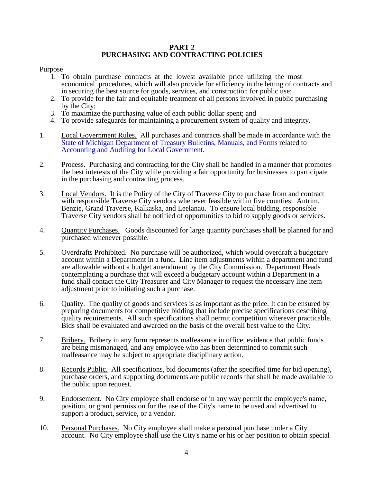#### **PART 2 PURCHASING AND CONTRACTING POLICIES**

#### Purpose

- 1. To obtain purchase contracts at the lowest available price utilizing the most economical procedures, which will also provide for efficiency in the letting of contracts and in securing the best source for goods, services, and construction for public use;
- 2. To provide for the fair and equitable treatment of all persons involved in public purchasing by the City;
- 3. To maximize the purchasing value of each public dollar spent; and
- 4. To provide safeguards for maintaining a procurement system of quality and integrity.
- 1. Local Government Rules. All purchases and contracts shall be made in accordance with the State of Michigan [Department of Treasury](https://www.michigan.gov/treasury/0,4679,7-121-1751_2194---,00.html) [Bulletins, Manuals, and Forms](https://www.michigan.gov/treasury/0,4679,7-121-1751_2194-171570--,00.html) related to [Accounting and Auditing for Local Government.](https://www.gao.gov/yellowbook/overview)
- 2. Process. Purchasing and contracting for the City shall be handled in a manner that promotes the best interests of the City while providing a fair opportunity for businesses to participate in the purchasing and contracting process.
- 3. Local Vendors. It is the Policy of the City of Traverse City to purchase from and contract with responsible Traverse City vendors whenever feasible within five counties: Antrim, Benzie, Grand Traverse, Kalkaska, and Leelanau. To ensure local bidding, responsible Traverse City vendors shall be notified of opportunities to bid to supply goods or services.
- 4. Quantity Purchases. Goods discounted for large quantity purchases shall be planned for and purchased whenever possible.
- 5. Overdrafts Prohibited. No purchase will be authorized, which would overdraft a budgetary account within a Department in a fund. Line item adjustments within a department and fund are allowable without a budget amendment by the City Commission. Department Heads contemplating a purchase that will exceed a budgetary account within a Department in a fund shall contact the City Treasurer and City Manager to request the necessary line item adjustment prior to initiating such a purchase.
- 6. Quality. The quality of goods and services is as important as the price. It can be ensured by preparing documents for competitive bidding that include precise specifications describing quality requirements. All such specifications shall permit competition wherever practicable. Bids shall be evaluated and awarded on the basis of the overall best value to the City.
- 7. Bribery. Bribery in any form represents malfeasance in office, evidence that public funds are being mismanaged, and any employee who has been determined to commit such malfeasance may be subject to appropriate disciplinary action.
- 8. Records Public. All specifications, bid documents (after the specified time for bid opening), purchase orders, and supporting documents are public records that shall be made available to the public upon request.
- 9. Endorsement. No City employee shall endorse or in any way permit the employee's name, position, or grant permission for the use of the City's name to be used and advertised to support a product, service, or a vendor.
- 10. Personal Purchases. No City employee shall make a personal purchase under a City account. No City employee shall use the City's name or his or her position to obtain special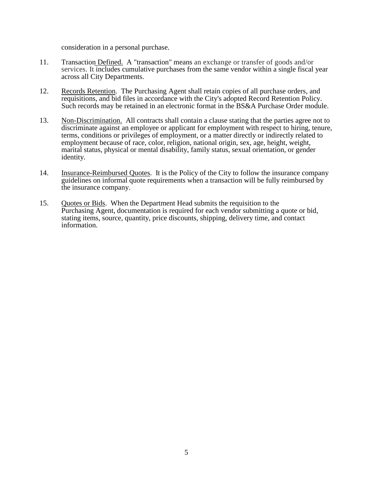consideration in a personal purchase.

- 11. Transaction Defined. A "transaction" means an exchange or transfer of goods and/or services. It includes cumulative purchases from the same vendor within a single fiscal year across all City Departments.
- 12. Records Retention. The Purchasing Agent shall retain copies of all purchase orders, and requisitions, and bid files in accordance with the City's adopted Record Retention Policy. Such records may be retained in an electronic format in the BS&A Purchase Order module.
- 13. Non-Discrimination. All contracts shall contain a clause stating that the parties agree not to discriminate against an employee or applicant for employment with respect to hiring, tenure, terms, conditions or privileges of employment, or a matter directly or indirectly related to employment because of race, color, religion, national origin, sex, age, height, weight, marital status, physical or mental disability, family status, sexual orientation, or gender identity.
- 14. Insurance-Reimbursed Quotes. It is the Policy of the City to follow the insurance company guidelines on informal quote requirements when a transaction will be fully reimbursed by the insurance company.
- 15. Quotes or Bids. When the Department Head submits the requisition to the Purchasing Agent, documentation is required for each vendor submitting a quote or bid, stating items, source, quantity, price discounts, shipping, delivery time, and contact information.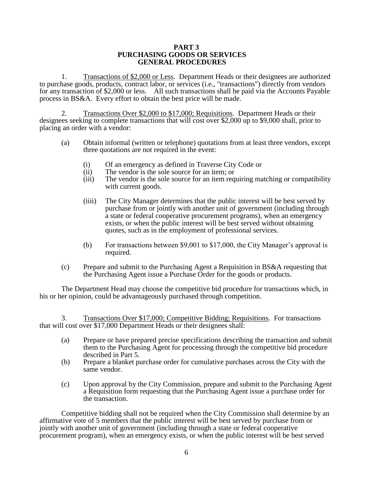#### **PART 3 PURCHASING GOODS OR SERVICES GENERAL PROCEDURES**

1. Transactions of \$2,000 or Less. Department Heads or their designees are authorized to purchase goods, products, contract labor, or services (i.e., "transactions") directly from vendors for any transaction of \$2,000 or less. All such transactions shall be paid via the Accounts Payable process in BS&A. Every effort to obtain the best price will be made.

2. Transactions Over \$2,000 to \$17,000; Requisitions. Department Heads or their designees seeking to complete transactions that will cost over \$2,000 up to \$9,000 shall, prior to placing an order with a vendor:

- (a) Obtain informal (written or telephone) quotations from at least three vendors, except three quotations are not required in the event:
	- (i) Of an emergency as defined in Traverse City Code or
	- (ii) The vendor is the sole source for an item; or
	- (iii) The vendor is the sole source for an item requiring matching or compatibility with current goods.
	- (iiii) The City Manager determines that the public interest will be best served by purchase from or jointly with another unit of government (including through a state or federal cooperative procurement programs), when an emergency exists, or when the public interest will be best served without obtaining quotes, such as in the employment of professional services.
	- (b) For transactions between \$9,001 to \$17,000, the City Manager's approval is required.
- (c) Prepare and submit to the Purchasing Agent a Requisition in BS&A requesting that the Purchasing Agent issue a Purchase Order for the goods or products.

The Department Head may choose the competitive bid procedure for transactions which, in his or her opinion, could be advantageously purchased through competition.

3. Transactions Over \$17,000; Competitive Bidding; Requisitions. For transactions that will cost over \$17,000 Department Heads or their designees shall:

- (a) Prepare or have prepared precise specifications describing the transaction and submit them to the Purchasing Agent for processing through the competitive bid procedure described in Part 5.
- (b) Prepare a blanket purchase order for cumulative purchases across the City with the same vendor.
- (c) Upon approval by the City Commission, prepare and submit to the Purchasing Agent a Requisition form requesting that the Purchasing Agent issue a purchase order for the transaction.

Competitive bidding shall not be required when the City Commission shall determine by an affirmative vote of 5 members that the public interest will be best served by purchase from or jointly with another unit of government (including through a state or federal cooperative procurement program), when an emergency exists, or when the public interest will be best served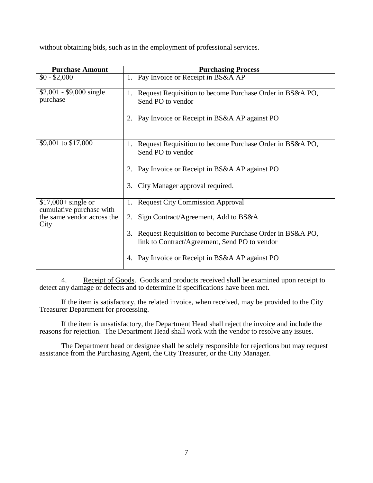without obtaining bids, such as in the employment of professional services.

| <b>Purchase Amount</b>                           | <b>Purchasing Process</b>                                                                                                           |  |  |
|--------------------------------------------------|-------------------------------------------------------------------------------------------------------------------------------------|--|--|
| $$0 - $2,000$                                    | 1. Pay Invoice or Receipt in BS&A AP                                                                                                |  |  |
| $$2,001 - $9,000$ single<br>purchase             | 1. Request Requisition to become Purchase Order in BS&A PO,<br>Send PO to vendor<br>2. Pay Invoice or Receipt in BS&A AP against PO |  |  |
|                                                  |                                                                                                                                     |  |  |
| \$9,001 to \$17,000                              | 1. Request Requisition to become Purchase Order in BS&A PO,<br>Send PO to vendor                                                    |  |  |
|                                                  | 2. Pay Invoice or Receipt in BS&A AP against PO                                                                                     |  |  |
|                                                  | 3. City Manager approval required.                                                                                                  |  |  |
| $$17,000+$ single or<br>cumulative purchase with | 1. Request City Commission Approval                                                                                                 |  |  |
| the same vendor across the<br>City               | 2. Sign Contract/Agreement, Add to BS&A                                                                                             |  |  |
|                                                  | Request Requisition to become Purchase Order in BS&A PO,<br>3.<br>link to Contract/Agreement, Send PO to vendor                     |  |  |
|                                                  | Pay Invoice or Receipt in BS&A AP against PO<br>4.                                                                                  |  |  |

4. Receipt of Goods. Goods and products received shall be examined upon receipt to detect any damage or defects and to determine if specifications have been met.

If the item is satisfactory, the related invoice, when received, may be provided to the City Treasurer Department for processing.

If the item is unsatisfactory, the Department Head shall reject the invoice and include the reasons for rejection. The Department Head shall work with the vendor to resolve any issues.

The Department head or designee shall be solely responsible for rejections but may request assistance from the Purchasing Agent, the City Treasurer, or the City Manager.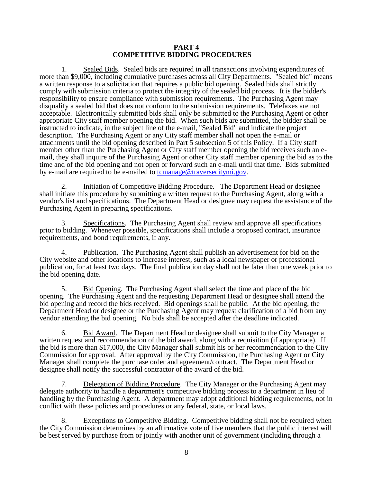#### **PART 4 COMPETITIVE BIDDING PROCEDURES**

1. Sealed Bids. Sealed bids are required in all transactions involving expenditures of more than \$9,000, including cumulative purchases across all City Departments. "Sealed bid" means a written response to a solicitation that requires a public bid opening. Sealed bids shall strictly comply with submission criteria to protect the integrity of the sealed bid process. It is the bidder's responsibility to ensure compliance with submission requirements. The Purchasing Agent may disqualify a sealed bid that does not conform to the submission requirements. Telefaxes are not acceptable. Electronically submitted bids shall only be submitted to the Purchasing Agent or other appropriate City staff member opening the bid. When such bids are submitted, the bidder shall be instructed to indicate, in the subject line of the e-mail, "Sealed Bid" and indicate the project description. The Purchasing Agent or any City staff member shall not open the e-mail or attachments until the bid opening described in Part 5 subsection 5 of this Policy. If a City staff member other than the Purchasing Agent or City staff member opening the bid receives such an email, they shall inquire of the Purchasing Agent or other City staff member opening the bid as to the time and of the bid opening and not open or forward such an e-mail until that time. Bids submitted by e-mail are required to be e-mailed to [tcmanage@traversecitymi.gov.](file:///C:/Users/ltlaucht/Downloads/tcmanage@traversecitymi.gov)

2. Initiation of Competitive Bidding Procedure. The Department Head or designee shall initiate this procedure by submitting a written request to the Purchasing Agent, along with a vendor's list and specifications. The Department Head or designee may request the assistance of the Purchasing Agent in preparing specifications.

3. Specifications. The Purchasing Agent shall review and approve all specifications prior to bidding. Whenever possible, specifications shall include a proposed contract, insurance requirements, and bond requirements, if any.

4. Publication. The Purchasing Agent shall publish an advertisement for bid on the City website and other locations to increase interest, such as a local newspaper or professional publication, for at least two days. The final publication day shall not be later than one week prior to the bid opening date.

5. Bid Opening. The Purchasing Agent shall select the time and place of the bid opening. The Purchasing Agent and the requesting Department Head or designee shall attend the bid opening and record the bids received. Bid openings shall be public. At the bid opening, the Department Head or designee or the Purchasing Agent may request clarification of a bid from any vendor attending the bid opening. No bids shall be accepted after the deadline indicated.

6. Bid Award. The Department Head or designee shall submit to the City Manager a written request and recommendation of the bid award, along with a requisition (if appropriate). If the bid is more than \$17,000, the City Manager shall submit his or her recommendation to the City Commission for approval. After approval by the City Commission, the Purchasing Agent or City Manager shall complete the purchase order and agreement/contract. The Department Head or designee shall notify the successful contractor of the award of the bid.

7. Delegation of Bidding Procedure. The City Manager or the Purchasing Agent may delegate authority to handle a department's competitive bidding process to a department in lieu of handling by the Purchasing Agent. A department may adopt additional bidding requirements, not in conflict with these policies and procedures or any federal, state, or local laws.

Exceptions to Competitive Bidding. Competitive bidding shall not be required when the City Commission determines by an affirmative vote of five members that the public interest will be best served by purchase from or jointly with another unit of government (including through a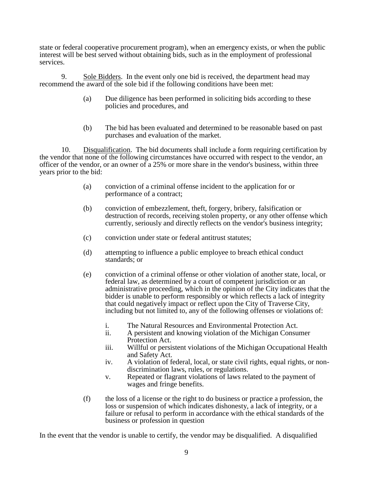state or federal cooperative procurement program), when an emergency exists, or when the public interest will be best served without obtaining bids, such as in the employment of professional services.

9. Sole Bidders. In the event only one bid is received, the department head may recommend the award of the sole bid if the following conditions have been met:

- (a) Due diligence has been performed in soliciting bids according to these policies and procedures, and
- (b) The bid has been evaluated and determined to be reasonable based on past purchases and evaluation of the market.

10. Disqualification. The bid documents shall include a form requiring certification by the vendor that none of the following circumstances have occurred with respect to the vendor, an officer of the vendor, or an owner of a 25% or more share in the vendor's business, within three years prior to the bid:

- (a) conviction of a criminal offense incident to the application for or performance of a contract;
- (b) conviction of embezzlement, theft, forgery, bribery, falsification or destruction of records, receiving stolen property, or any other offense which currently, seriously and directly reflects on the vendor's business integrity;
- (c) conviction under state or federal antitrust statutes;
- (d) attempting to influence a public employee to breach ethical conduct standards; or
- (e) conviction of a criminal offense or other violation of another state, local, or federal law, as determined by a court of competent jurisdiction or an administrative proceeding, which in the opinion of the City indicates that the bidder is unable to perform responsibly or which reflects a lack of integrity that could negatively impact or reflect upon the City of Traverse City, including but not limited to, any of the following offenses or violations of:
	- i. The Natural Resources and Environmental Protection Act.
	- ii. A persistent and knowing violation of the Michigan Consumer Protection Act.
	- iii. Willful or persistent violations of the Michigan Occupational Health and Safety Act.
	- iv. A violation of federal, local, or state civil rights, equal rights, or nondiscrimination laws, rules, or regulations.
	- v. Repeated or flagrant violations of laws related to the payment of wages and fringe benefits.
- (f) the loss of a license or the right to do business or practice a profession, the loss or suspension of which indicates dishonesty, a lack of integrity, or a failure or refusal to perform in accordance with the ethical standards of the business or profession in question

In the event that the vendor is unable to certify, the vendor may be disqualified. A disqualified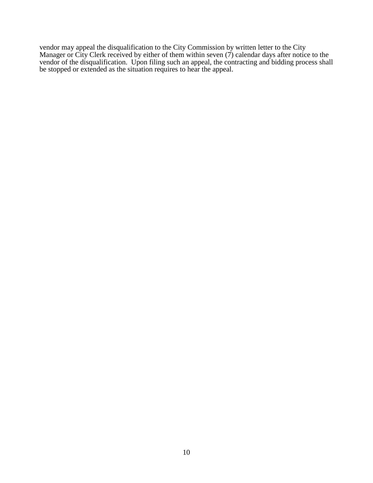vendor may appeal the disqualification to the City Commission by written letter to the City Manager or City Clerk received by either of them within seven (7) calendar days after notice to the vendor of the disqualification. Upon filing such an appeal, the contracting and bidding process shall be stopped or extended as the situation requires to hear the appeal.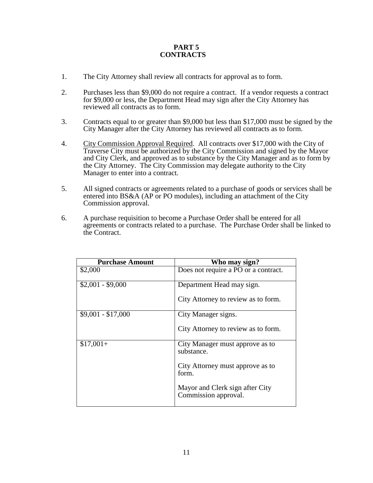### **PART 5 CONTRACTS**

- 1. The City Attorney shall review all contracts for approval as to form.
- 2. Purchases less than \$9,000 do not require a contract. If a vendor requests a contract for \$9,000 or less, the Department Head may sign after the City Attorney has reviewed all contracts as to form.
- 3. Contracts equal to or greater than \$9,000 but less than \$17,000 must be signed by the City Manager after the City Attorney has reviewed all contracts as to form.
- 4. City Commission Approval Required. All contracts over \$17,000 with the City of Traverse City must be authorized by the City Commission and signed by the Mayor and City Clerk, and approved as to substance by the City Manager and as to form by the City Attorney. The City Commission may delegate authority to the City Manager to enter into a contract.
- 5. All signed contracts or agreements related to a purchase of goods or services shall be entered into BS&A (AP or PO modules), including an attachment of the City Commission approval.
- 6. A purchase requisition to become a Purchase Order shall be entered for all agreements or contracts related to a purchase. The Purchase Order shall be linked to the Contract.

| <b>Purchase Amount</b> | Who may sign?                                           |
|------------------------|---------------------------------------------------------|
| \$2,000                | Does not require a PO or a contract.                    |
| $$2,001 - $9,000$      | Department Head may sign.                               |
|                        | City Attorney to review as to form.                     |
| $$9,001 - $17,000$     | City Manager signs.                                     |
|                        | City Attorney to review as to form.                     |
| $$17,001+$             | City Manager must approve as to<br>substance.           |
|                        | City Attorney must approve as to<br>form.               |
|                        | Mayor and Clerk sign after City<br>Commission approval. |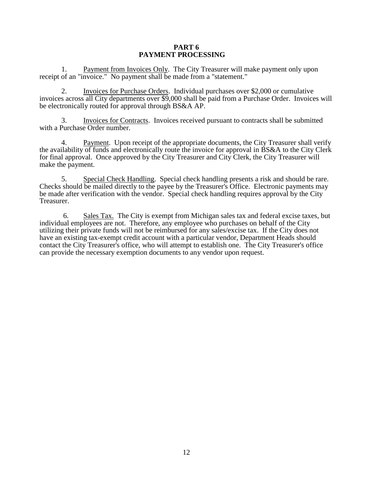#### **PART 6 PAYMENT PROCESSING**

1. Payment from Invoices Only. The City Treasurer will make payment only upon receipt of an "invoice." No payment shall be made from a "statement."

2. Invoices for Purchase Orders. Individual purchases over \$2,000 or cumulative invoices across all City departments over \$9,000 shall be paid from a Purchase Order. Invoices will be electronically routed for approval through BS&A AP.

3. Invoices for Contracts. Invoices received pursuant to contracts shall be submitted with a Purchase Order number.

4. Payment. Upon receipt of the appropriate documents, the City Treasurer shall verify the availability of funds and electronically route the invoice for approval in BS&A to the City Clerk for final approval. Once approved by the City Treasurer and City Clerk, the City Treasurer will make the payment.

5. Special Check Handling. Special check handling presents a risk and should be rare. Checks should be mailed directly to the payee by the Treasurer's Office. Electronic payments may be made after verification with the vendor. Special check handling requires approval by the City Treasurer.

6. Sales Tax. The City is exempt from Michigan sales tax and federal excise taxes, but individual employees are not. Therefore, any employee who purchases on behalf of the City utilizing their private funds will not be reimbursed for any sales/excise tax. If the City does not have an existing tax-exempt credit account with a particular vendor, Department Heads should contact the City Treasurer's office, who will attempt to establish one. The City Treasurer's office can provide the necessary exemption documents to any vendor upon request.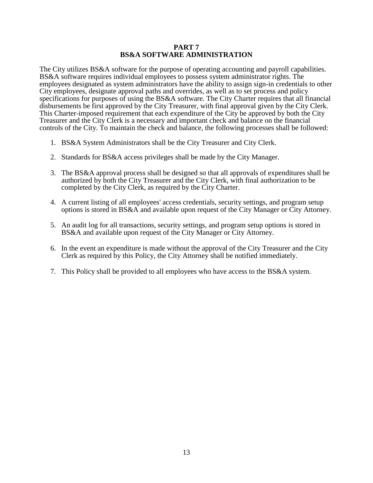#### **PART 7 BS&A SOFTWARE ADMINISTRATION**

The City utilizes BS&A software for the purpose of operating accounting and payroll capabilities. BS&A software requires individual employees to possess system administrator rights. The employees designated as system administrators have the ability to assign sign-in credentials to other City employees, designate approval paths and overrides, as well as to set process and policy specifications for purposes of using the BS&A software. The City Charter requires that all financial disbursements be first approved by the City Treasurer, with final approval given by the City Clerk. This Charter-imposed requirement that each expenditure of the City be approved by both the City Treasurer and the City Clerk is a necessary and important check and balance on the financial controls of the City. To maintain the check and balance, the following processes shall be followed:

- 1. BS&A System Administrators shall be the City Treasurer and City Clerk.
- 2. Standards for BS&A access privileges shall be made by the City Manager.
- 3. The BS&A approval process shall be designed so that all approvals of expenditures shall be authorized by both the City Treasurer and the City Clerk, with final authorization to be completed by the City Clerk, as required by the City Charter.
- 4. A current listing of all employees' access credentials, security settings, and program setup options is stored in BS&A and available upon request of the City Manager or City Attorney.
- 5. An audit log for all transactions, security settings, and program setup options is stored in BS&A and available upon request of the City Manager or City Attorney.
- 6. In the event an expenditure is made without the approval of the City Treasurer and the City Clerk as required by this Policy, the City Attorney shall be notified immediately.
- 7. This Policy shall be provided to all employees who have access to the BS&A system.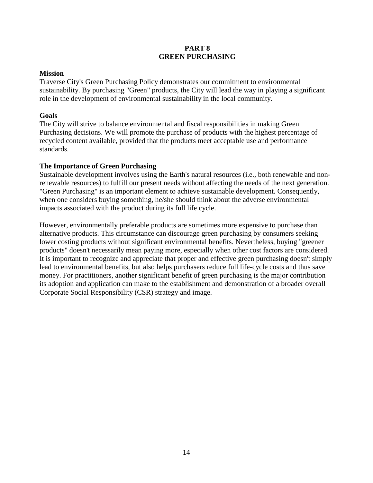### **PART 8 GREEN PURCHASING**

#### **Mission**

Traverse City's Green Purchasing Policy demonstrates our commitment to environmental sustainability. By purchasing "Green" products, the City will lead the way in playing a significant role in the development of environmental sustainability in the local community.

#### **Goals**

The City will strive to balance environmental and fiscal responsibilities in making Green Purchasing decisions. We will promote the purchase of products with the highest percentage of recycled content available, provided that the products meet acceptable use and performance standards.

### **The Importance of Green Purchasing**

Sustainable development involves using the Earth's natural resources (i.e., both renewable and nonrenewable resources) to fulfill our present needs without affecting the needs of the next generation. "Green Purchasing" is an important element to achieve sustainable development. Consequently, when one considers buying something, he/she should think about the adverse environmental impacts associated with the product during its full life cycle.

However, environmentally preferable products are sometimes more expensive to purchase than alternative products. This circumstance can discourage green purchasing by consumers seeking lower costing products without significant environmental benefits. Nevertheless, buying "greener products" doesn't necessarily mean paying more, especially when other cost factors are considered. It is important to recognize and appreciate that proper and effective green purchasing doesn't simply lead to environmental benefits, but also helps purchasers reduce full life-cycle costs and thus save money. For practitioners, another significant benefit of green purchasing is the major contribution its adoption and application can make to the establishment and demonstration of a broader overall Corporate Social Responsibility (CSR) strategy and image.